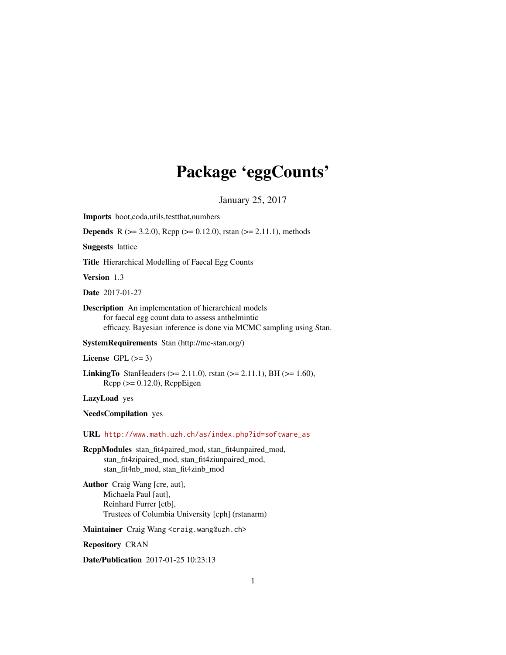## Package 'eggCounts'

January 25, 2017

Imports boot,coda,utils,testthat,numbers

**Depends** R ( $>= 3.2.0$ ), Rcpp ( $>= 0.12.0$ ), rstan ( $>= 2.11.1$ ), methods

Suggests lattice

Title Hierarchical Modelling of Faecal Egg Counts

Version 1.3

Date 2017-01-27

Description An implementation of hierarchical models for faecal egg count data to assess anthelmintic efficacy. Bayesian inference is done via MCMC sampling using Stan.

SystemRequirements Stan (http://mc-stan.org/)

License GPL  $(>= 3)$ 

**LinkingTo** StanHeaders ( $>= 2.11.0$ ), rstan ( $>= 2.11.1$ ), BH ( $>= 1.60$ ),  $Rcpp \, (> = 0.12.0)$ ,  $RcppEigen$ 

LazyLoad yes

NeedsCompilation yes

URL [http://www.math.uzh.ch/as/index.php?id=software\\_as](http://www.math.uzh.ch/as/index.php?id=software_as)

RcppModules stan\_fit4paired\_mod, stan\_fit4unpaired\_mod, stan\_fit4zipaired\_mod, stan\_fit4ziunpaired\_mod, stan\_fit4nb\_mod, stan\_fit4zinb\_mod

Author Craig Wang [cre, aut], Michaela Paul [aut], Reinhard Furrer [ctb], Trustees of Columbia University [cph] (rstanarm)

Maintainer Craig Wang <craig.wang@uzh.ch>

Repository CRAN

Date/Publication 2017-01-25 10:23:13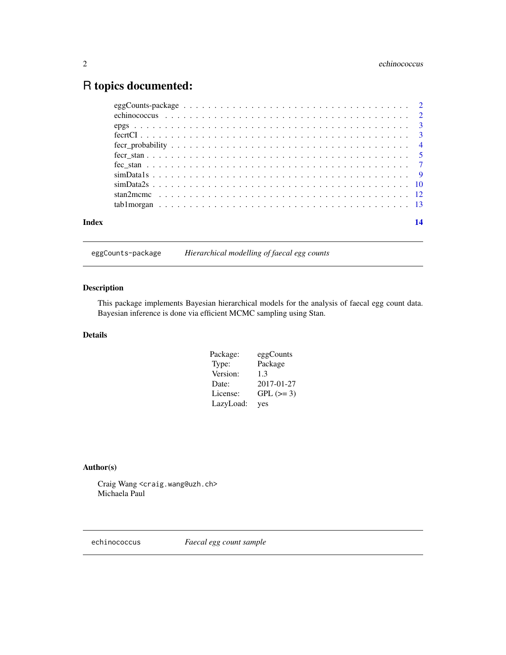## <span id="page-1-0"></span>R topics documented:

| Index | 14 |
|-------|----|
|       |    |

eggCounts-package *Hierarchical modelling of faecal egg counts*

## Description

This package implements Bayesian hierarchical models for the analysis of faecal egg count data. Bayesian inference is done via efficient MCMC sampling using Stan.

## Details

| Package:  | eggCounts  |
|-----------|------------|
| Type:     | Package    |
| Version:  | 1.3        |
| Date:     | 2017-01-27 |
| License:  | $GPL (=3)$ |
| LazyLoad: | yes        |

## Author(s)

Craig Wang <craig.wang@uzh.ch> Michaela Paul

echinococcus *Faecal egg count sample*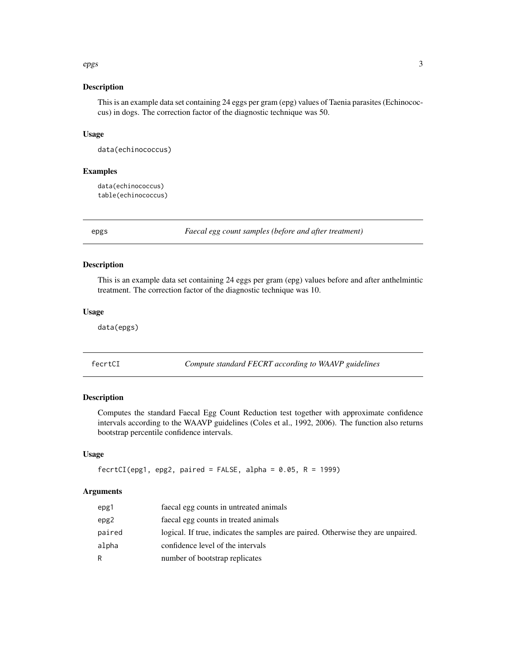## <span id="page-2-0"></span>epgs 3

## Description

This is an example data set containing 24 eggs per gram (epg) values of Taenia parasites (Echinococcus) in dogs. The correction factor of the diagnostic technique was 50.

#### Usage

data(echinococcus)

## Examples

data(echinococcus) table(echinococcus)

epgs *Faecal egg count samples (before and after treatment)*

## Description

This is an example data set containing 24 eggs per gram (epg) values before and after anthelmintic treatment. The correction factor of the diagnostic technique was 10.

## Usage

data(epgs)

fecrtCI *Compute standard FECRT according to WAAVP guidelines*

#### Description

Computes the standard Faecal Egg Count Reduction test together with approximate confidence intervals according to the WAAVP guidelines (Coles et al., 1992, 2006). The function also returns bootstrap percentile confidence intervals.

## Usage

```
fectCI(epg1, epg2, paired = FALSE, alpha = 0.05, R = 1999)
```

| epg1   | faecal egg counts in untreated animals                                           |
|--------|----------------------------------------------------------------------------------|
| epg2   | faecal egg counts in treated animals                                             |
| paired | logical. If true, indicates the samples are paired. Otherwise they are unpaired. |
| alpha  | confidence level of the intervals                                                |
| R.     | number of bootstrap replicates                                                   |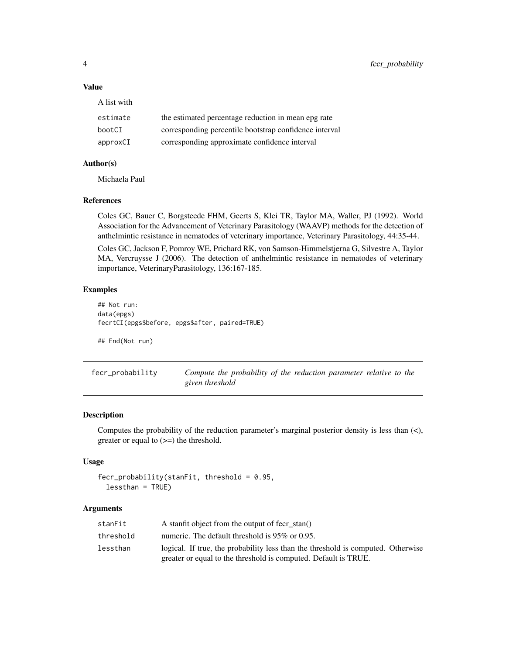## Value

| estimate | the estimated percentage reduction in mean epg rate    |
|----------|--------------------------------------------------------|
| bootCI   | corresponding percentile bootstrap confidence interval |
| approxCI | corresponding approximate confidence interval          |

## Author(s)

Michaela Paul

A list with

#### References

Coles GC, Bauer C, Borgsteede FHM, Geerts S, Klei TR, Taylor MA, Waller, PJ (1992). World Association for the Advancement of Veterinary Parasitology (WAAVP) methods for the detection of anthelmintic resistance in nematodes of veterinary importance, Veterinary Parasitology, 44:35-44.

Coles GC, Jackson F, Pomroy WE, Prichard RK, von Samson-Himmelstjerna G, Silvestre A, Taylor MA, Vercruysse J (2006). The detection of anthelmintic resistance in nematodes of veterinary importance, VeterinaryParasitology, 136:167-185.

## Examples

```
## Not run:
data(epgs)
fecrtCI(epgs$before, epgs$after, paired=TRUE)
```
## End(Not run)

fecr\_probability *Compute the probability of the reduction parameter relative to the given threshold*

## Description

Computes the probability of the reduction parameter's marginal posterior density is less than  $(\langle \cdot, \cdot \rangle)$ greater or equal to (>=) the threshold.

## Usage

```
fecr\_probability(statFit, threshold = 0.95,lessthan = TRUE)
```

| stanFit   | A stanfit object from the output of fecr stan()                                  |
|-----------|----------------------------------------------------------------------------------|
| threshold | numeric. The default threshold is 95% or 0.95.                                   |
| lessthan  | logical. If true, the probability less than the threshold is computed. Otherwise |
|           | greater or equal to the threshold is computed. Default is TRUE.                  |

<span id="page-3-0"></span>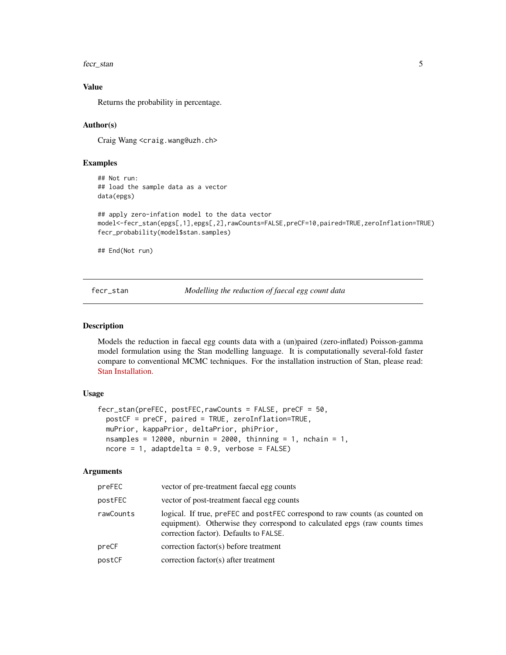<span id="page-4-0"></span>fect\_stan 5

## Value

Returns the probability in percentage.

## Author(s)

Craig Wang <craig.wang@uzh.ch>

## Examples

## Not run: ## load the sample data as a vector data(epgs)

```
## apply zero-infation model to the data vector
model<-fecr_stan(epgs[,1],epgs[,2],rawCounts=FALSE,preCF=10,paired=TRUE,zeroInflation=TRUE)
fecr_probability(model$stan.samples)
```
## End(Not run)

<span id="page-4-1"></span>fecr\_stan *Modelling the reduction of faecal egg count data*

#### Description

Models the reduction in faecal egg counts data with a (un)paired (zero-inflated) Poisson-gamma model formulation using the Stan modelling language. It is computationally several-fold faster compare to conventional MCMC techniques. For the installation instruction of Stan, please read: [Stan Installation.](https://github.com/stan-dev/rstan/wiki/Installing-RStan-on-Windows)

## Usage

```
fecr_stan(preFEC, postFEC,rawCounts = FALSE, preCF = 50,
 postCF = preCF, paired = TRUE, zeroInflation=TRUE,
 muPrior, kappaPrior, deltaPrior, phiPrior,
 nsamples = 12000, nburnin = 2000, thinning = 1, nchain = 1,
 ncore = 1, adaptdelta = 0.9, verbose = FALSE)
```

| preFEC    | vector of pre-treatment faecal egg counts                                                                                                                                                            |
|-----------|------------------------------------------------------------------------------------------------------------------------------------------------------------------------------------------------------|
| postFEC   | vector of post-treatment faecal egg counts                                                                                                                                                           |
| rawCounts | logical. If true, preFEC and postFEC correspond to raw counts (as counted on<br>equipment). Otherwise they correspond to calculated epgs (raw counts times<br>correction factor). Defaults to FALSE. |
| preCF     | correction factor(s) before treatment                                                                                                                                                                |
| postCF    | correction factor(s) after treatment                                                                                                                                                                 |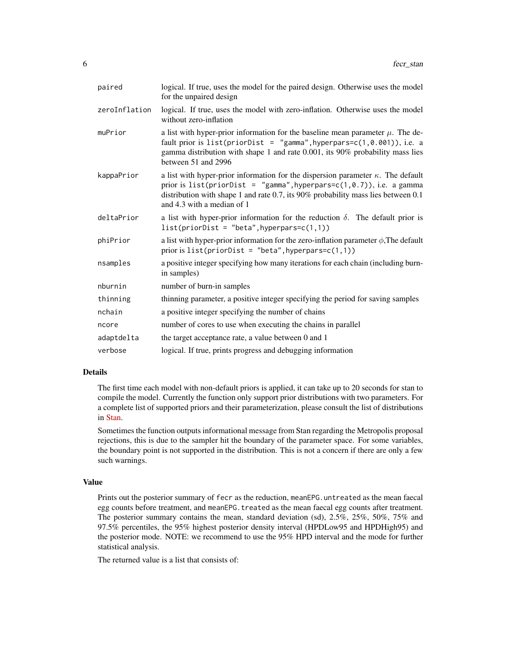| paired        | logical. If true, uses the model for the paired design. Otherwise uses the model<br>for the unpaired design                                                                                                                                                                             |
|---------------|-----------------------------------------------------------------------------------------------------------------------------------------------------------------------------------------------------------------------------------------------------------------------------------------|
| zeroInflation | logical. If true, uses the model with zero-inflation. Otherwise uses the model<br>without zero-inflation                                                                                                                                                                                |
| muPrior       | a list with hyper-prior information for the baseline mean parameter $\mu$ . The de-<br>fault prior is list(priorDist = "gamma", hyperpars= $c(1, 0.001)$ ), i.e. a<br>gamma distribution with shape 1 and rate 0.001, its 90% probability mass lies<br>between 51 and 2996              |
| kappaPrior    | a list with hyper-prior information for the dispersion parameter $\kappa$ . The default<br>prior is list(priorDist = "gamma", hyperpars= $c(1, 0.7)$ ), i.e. a gamma<br>distribution with shape 1 and rate 0.7, its 90% probability mass lies between 0.1<br>and 4.3 with a median of 1 |
| deltaPrior    | a list with hyper-prior information for the reduction $\delta$ . The default prior is<br>$list(priorDist = "beta", hyperparsec(1,1))$                                                                                                                                                   |
| phiPrior      | a list with hyper-prior information for the zero-inflation parameter $\phi$ , The default<br>prior is $list(priorDist = "beta", hyperparsec(1,1))$                                                                                                                                      |
| nsamples      | a positive integer specifying how many iterations for each chain (including burn-<br>in samples)                                                                                                                                                                                        |
| nburnin       | number of burn-in samples                                                                                                                                                                                                                                                               |
| thinning      | thinning parameter, a positive integer specifying the period for saving samples                                                                                                                                                                                                         |
| nchain        | a positive integer specifying the number of chains                                                                                                                                                                                                                                      |
| ncore         | number of cores to use when executing the chains in parallel                                                                                                                                                                                                                            |
| adaptdelta    | the target acceptance rate, a value between 0 and 1                                                                                                                                                                                                                                     |
| verbose       | logical. If true, prints progress and debugging information                                                                                                                                                                                                                             |

## Details

The first time each model with non-default priors is applied, it can take up to 20 seconds for stan to compile the model. Currently the function only support prior distributions with two parameters. For a complete list of supported priors and their parameterization, please consult the list of distributions in [Stan.](http://mc-stan.org/documentation/)

Sometimes the function outputs informational message from Stan regarding the Metropolis proposal rejections, this is due to the sampler hit the boundary of the parameter space. For some variables, the boundary point is not supported in the distribution. This is not a concern if there are only a few such warnings.

#### Value

Prints out the posterior summary of fecr as the reduction, meanEPG.untreated as the mean faecal egg counts before treatment, and meanEPG. treated as the mean faecal egg counts after treatment. The posterior summary contains the mean, standard deviation (sd), 2.5%, 25%, 50%, 75% and 97.5% percentiles, the 95% highest posterior density interval (HPDLow95 and HPDHigh95) and the posterior mode. NOTE: we recommend to use the 95% HPD interval and the mode for further statistical analysis.

The returned value is a list that consists of: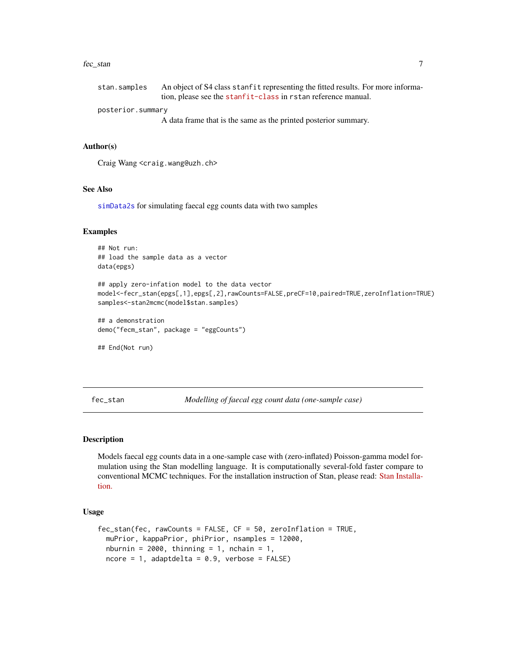#### <span id="page-6-0"></span>fec\_stan 7

| stan.samples      | An object of S4 class stanfit representing the fitted results. For more informa- |
|-------------------|----------------------------------------------------------------------------------|
|                   | tion, please see the stanfit-class in rstan reference manual.                    |
| posterior.summary |                                                                                  |
|                   | A data frame that is the same as the printed posterior summary.                  |

#### Author(s)

Craig Wang <craig.wang@uzh.ch>

## See Also

[simData2s](#page-9-1) for simulating faecal egg counts data with two samples

## Examples

## Not run: ## load the sample data as a vector data(epgs) ## apply zero-infation model to the data vector model<-fecr\_stan(epgs[,1],epgs[,2],rawCounts=FALSE,preCF=10,paired=TRUE,zeroInflation=TRUE) samples<-stan2mcmc(model\$stan.samples) ## a demonstration demo("fecm\_stan", package = "eggCounts")

## End(Not run)

<span id="page-6-1"></span>fec\_stan *Modelling of faecal egg count data (one-sample case)*

#### Description

Models faecal egg counts data in a one-sample case with (zero-inflated) Poisson-gamma model formulation using the Stan modelling language. It is computationally several-fold faster compare to conventional MCMC techniques. For the installation instruction of Stan, please read: [Stan Installa](https://github.com/stan-dev/rstan/wiki/Installing-RStan-on-Windows)[tion.](https://github.com/stan-dev/rstan/wiki/Installing-RStan-on-Windows)

#### Usage

```
fec_stan(fec, rawCounts = FALSE, CF = 50, zeroInflation = TRUE,
 muPrior, kappaPrior, phiPrior, nsamples = 12000,
 nburnin = 2000, thinning = 1, nchain = 1,
 ncore = 1, adaptdelta = 0.9, verbose = FALSE)
```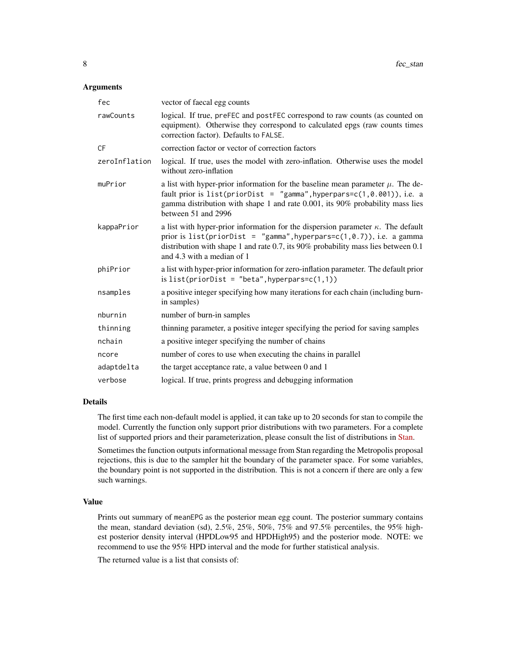## Arguments

| fec           | vector of faecal egg counts                                                                                                                                                                                                                                                          |
|---------------|--------------------------------------------------------------------------------------------------------------------------------------------------------------------------------------------------------------------------------------------------------------------------------------|
| rawCounts     | logical. If true, preFEC and postFEC correspond to raw counts (as counted on<br>equipment). Otherwise they correspond to calculated epgs (raw counts times<br>correction factor). Defaults to FALSE.                                                                                 |
| <b>CF</b>     | correction factor or vector of correction factors                                                                                                                                                                                                                                    |
| zeroInflation | logical. If true, uses the model with zero-inflation. Otherwise uses the model<br>without zero-inflation                                                                                                                                                                             |
| muPrior       | a list with hyper-prior information for the baseline mean parameter $\mu$ . The de-<br>fault prior is list(priorDist = "gamma", hyperpars= $c(1, 0.001)$ ), i.e. a<br>gamma distribution with shape 1 and rate 0.001, its 90% probability mass lies<br>between 51 and 2996           |
| kappaPrior    | a list with hyper-prior information for the dispersion parameter $\kappa$ . The default<br>prior is $list(priorDist = "gamma", hyperparse(1, 0.7)), i.e. a gamma$<br>distribution with shape 1 and rate 0.7, its 90% probability mass lies between 0.1<br>and 4.3 with a median of 1 |
| phiPrior      | a list with hyper-prior information for zero-inflation parameter. The default prior<br>is $list(priorDist = "beta", hyperparsec(1,1))$                                                                                                                                               |
| nsamples      | a positive integer specifying how many iterations for each chain (including burn-<br>in samples)                                                                                                                                                                                     |
| nburnin       | number of burn-in samples                                                                                                                                                                                                                                                            |
| thinning      | thinning parameter, a positive integer specifying the period for saving samples                                                                                                                                                                                                      |
| nchain        | a positive integer specifying the number of chains                                                                                                                                                                                                                                   |
| ncore         | number of cores to use when executing the chains in parallel                                                                                                                                                                                                                         |
| adaptdelta    | the target acceptance rate, a value between 0 and 1                                                                                                                                                                                                                                  |
| verbose       | logical. If true, prints progress and debugging information                                                                                                                                                                                                                          |

#### Details

The first time each non-default model is applied, it can take up to 20 seconds for stan to compile the model. Currently the function only support prior distributions with two parameters. For a complete list of supported priors and their parameterization, please consult the list of distributions in [Stan.](http://mc-stan.org/documentation/)

Sometimes the function outputs informational message from Stan regarding the Metropolis proposal rejections, this is due to the sampler hit the boundary of the parameter space. For some variables, the boundary point is not supported in the distribution. This is not a concern if there are only a few such warnings.

#### Value

Prints out summary of meanEPG as the posterior mean egg count. The posterior summary contains the mean, standard deviation (sd), 2.5%, 25%, 50%, 75% and 97.5% percentiles, the 95% highest posterior density interval (HPDLow95 and HPDHigh95) and the posterior mode. NOTE: we recommend to use the 95% HPD interval and the mode for further statistical analysis.

The returned value is a list that consists of: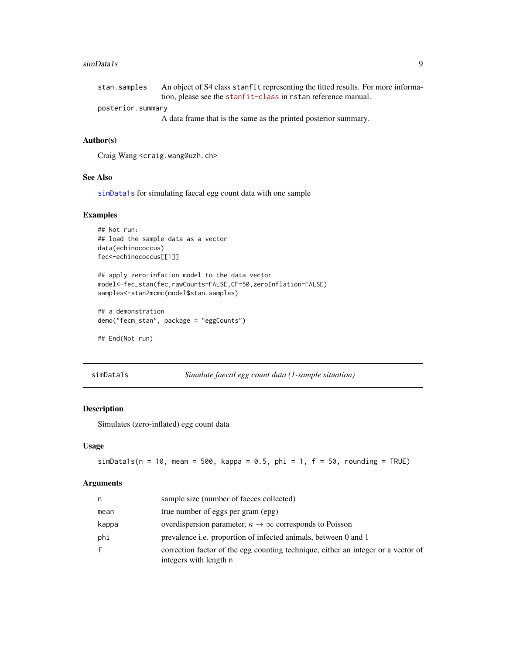#### <span id="page-8-0"></span>simData1s 9

| stan.samples      | An object of S4 class stanfit representing the fitted results. For more informa- |
|-------------------|----------------------------------------------------------------------------------|
|                   | tion, please see the stanfit-class in rstan reference manual.                    |
| posterior.summary |                                                                                  |
|                   | A data frame that is the same as the printed posterior summary.                  |

## Author(s)

Craig Wang <craig.wang@uzh.ch>

## See Also

[simData1s](#page-8-1) for simulating faecal egg count data with one sample

## Examples

```
## Not run:
## load the sample data as a vector
data(echinococcus)
fec<-echinococcus[[1]]
```

```
## apply zero-infation model to the data vector
model<-fec_stan(fec,rawCounts=FALSE,CF=50,zeroInflation=FALSE)
samples<-stan2mcmc(model$stan.samples)
```

```
## a demonstration
demo("fecm_stan", package = "eggCounts")
```

```
## End(Not run)
```
<span id="page-8-1"></span>simData1s *Simulate faecal egg count data (1-sample situation)*

## Description

Simulates (zero-inflated) egg count data

## Usage

simData1s( $n = 10$ , mean = 500, kappa = 0.5, phi = 1,  $f = 50$ , rounding = TRUE)

| n            | sample size (number of faeces collected)                                                                    |
|--------------|-------------------------------------------------------------------------------------------------------------|
| mean         | true number of eggs per gram (epg)                                                                          |
| kappa        | overdispersion parameter, $\kappa \to \infty$ corresponds to Poisson                                        |
| phi          | prevalence <i>i.e.</i> proportion of infected animals, between 0 and 1                                      |
| $\mathsf{f}$ | correction factor of the egg counting technique, either an integer or a vector of<br>integers with length n |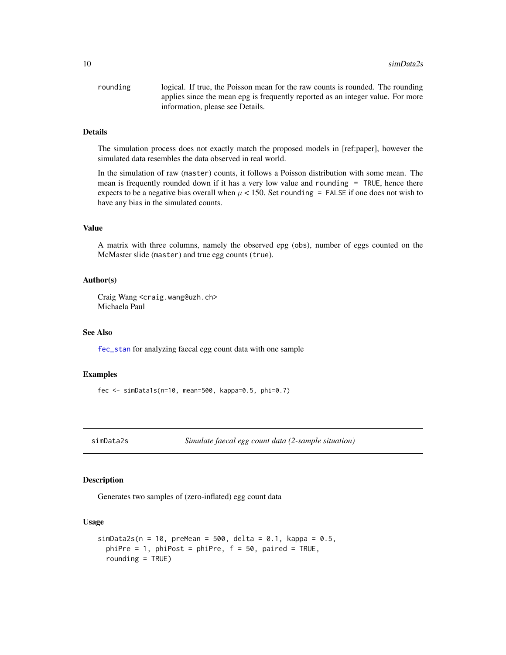<span id="page-9-0"></span>

| rounding | logical. If true, the Poisson mean for the raw counts is rounded. The rounding  |
|----------|---------------------------------------------------------------------------------|
|          | applies since the mean epg is frequently reported as an integer value. For more |
|          | information, please see Details.                                                |

## Details

The simulation process does not exactly match the proposed models in [ref:paper], however the simulated data resembles the data observed in real world.

In the simulation of raw (master) counts, it follows a Poisson distribution with some mean. The mean is frequently rounded down if it has a very low value and rounding = TRUE, hence there expects to be a negative bias overall when  $\mu$  < 150. Set rounding = FALSE if one does not wish to have any bias in the simulated counts.

## Value

A matrix with three columns, namely the observed epg (obs), number of eggs counted on the McMaster slide (master) and true egg counts (true).

## Author(s)

Craig Wang <craig.wang@uzh.ch> Michaela Paul

## See Also

[fec\\_stan](#page-6-1) for analyzing faecal egg count data with one sample

## Examples

fec <- simData1s(n=10, mean=500, kappa=0.5, phi=0.7)

<span id="page-9-1"></span>simData2s *Simulate faecal egg count data (2-sample situation)*

#### Description

Generates two samples of (zero-inflated) egg count data

#### Usage

```
simData2s(n = 10, preMean = 500, delta = 0.1, kappa = 0.5,
 phiPre = 1, phiPost = phiPre, f = 50, paired = TRUE,
  rounding = TRUE)
```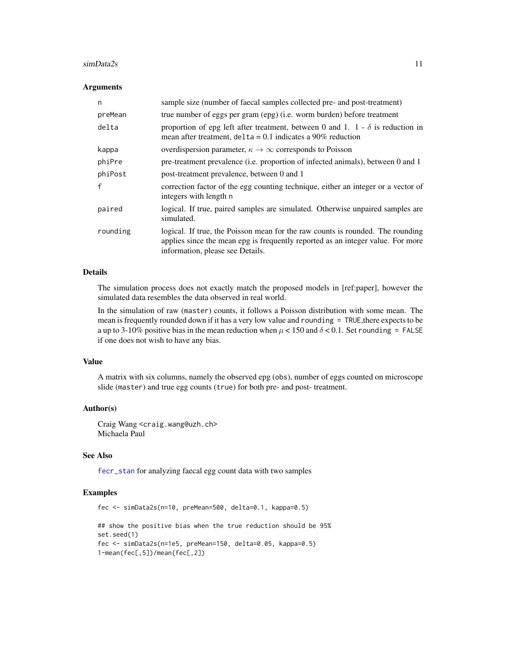#### <span id="page-10-0"></span> $\sin\theta$  at a 2s  $\sin\theta$  at a 2s  $\sin\theta$  at a  $\sin\theta$  at a  $\sin\theta$  at a  $\sin\theta$  at a  $\sin\theta$  at a  $\sin\theta$  at a  $\sin\theta$  at a  $\sin\theta$  at a  $\sin\theta$  at a  $\sin\theta$  at a  $\sin\theta$  at a  $\sin\theta$  at  $\sin\theta$  at  $\sin\theta$  at  $\sin\theta$  at  $\sin\theta$  at  $\sin\theta$  at

#### Arguments

| n        | sample size (number of faecal samples collected pre- and post-treatment)                                                                                                                              |
|----------|-------------------------------------------------------------------------------------------------------------------------------------------------------------------------------------------------------|
| preMean  | true number of eggs per gram (epg) (i.e. worm burden) before treatment                                                                                                                                |
| delta    | proportion of epg left after treatment, between 0 and 1. 1 - $\delta$ is reduction in<br>mean after treatment, $delta = 0.1$ indicates a 90% reduction                                                |
| kappa    | overdispersion parameter, $\kappa \to \infty$ corresponds to Poisson                                                                                                                                  |
| phiPre   | pre-treatment prevalence (i.e. proportion of infected animals), between 0 and 1                                                                                                                       |
| phiPost  | post-treatment prevalence, between 0 and 1                                                                                                                                                            |
| f        | correction factor of the egg counting technique, either an integer or a vector of<br>integers with length n                                                                                           |
| paired   | logical. If true, paired samples are simulated. Otherwise unpaired samples are<br>simulated.                                                                                                          |
| rounding | logical. If true, the Poisson mean for the raw counts is rounded. The rounding<br>applies since the mean epg is frequently reported as an integer value. For more<br>information, please see Details. |

## Details

The simulation process does not exactly match the proposed models in [ref:paper], however the simulated data resembles the data observed in real world.

In the simulation of raw (master) counts, it follows a Poisson distribution with some mean. The mean is frequently rounded down if it has a very low value and rounding = TRUE,there expects to be a up to 3-10% positive bias in the mean reduction when  $\mu$  < 150 and  $\delta$  < 0.1. Set rounding = FALSE if one does not wish to have any bias.

#### Value

A matrix with six columns, namely the observed epg (obs), number of eggs counted on microscope slide (master) and true egg counts (true) for both pre- and post- treatment.

## Author(s)

Craig Wang <craig.wang@uzh.ch> Michaela Paul

## See Also

[fecr\\_stan](#page-4-1) for analyzing faecal egg count data with two samples

## Examples

```
fec <- simData2s(n=10, preMean=500, delta=0.1, kappa=0.5)
```

```
## show the positive bias when the true reduction should be 95%
set.seed(1)
fec <- simData2s(n=1e5, preMean=150, delta=0.05, kappa=0.5)
1-mean(fec[,5])/mean(fec[,2])
```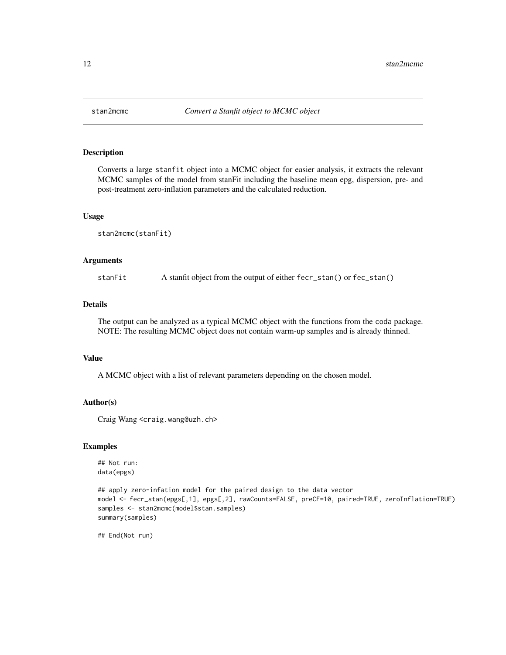<span id="page-11-0"></span>

#### Description

Converts a large stanfit object into a MCMC object for easier analysis, it extracts the relevant MCMC samples of the model from stanFit including the baseline mean epg, dispersion, pre- and post-treatment zero-inflation parameters and the calculated reduction.

#### Usage

```
stan2mcmc(stanFit)
```
## Arguments

stanFit A stanfit object from the output of either fecr\_stan() or fec\_stan()

## Details

The output can be analyzed as a typical MCMC object with the functions from the coda package. NOTE: The resulting MCMC object does not contain warm-up samples and is already thinned.

#### Value

A MCMC object with a list of relevant parameters depending on the chosen model.

## Author(s)

Craig Wang <craig.wang@uzh.ch>

## Examples

## Not run: data(epgs)

```
## apply zero-infation model for the paired design to the data vector
model <- fecr_stan(epgs[,1], epgs[,2], rawCounts=FALSE, preCF=10, paired=TRUE, zeroInflation=TRUE)
samples <- stan2mcmc(model$stan.samples)
summary(samples)
```
## End(Not run)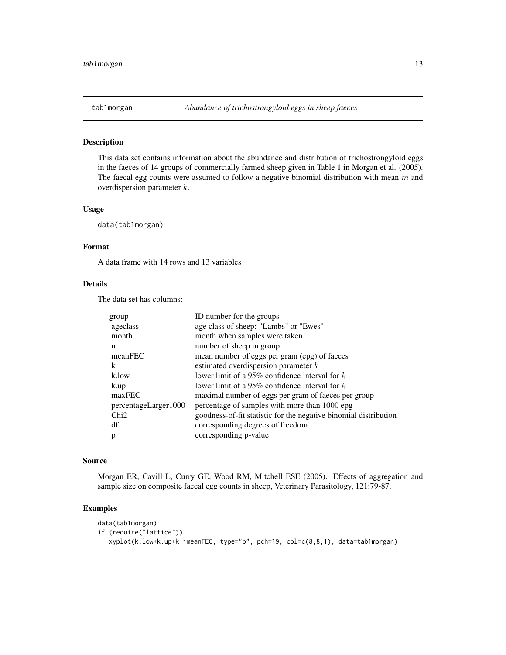<span id="page-12-0"></span>

## Description

This data set contains information about the abundance and distribution of trichostrongyloid eggs in the faeces of 14 groups of commercially farmed sheep given in Table 1 in Morgan et al. (2005). The faecal egg counts were assumed to follow a negative binomial distribution with mean  $m$  and overdispersion parameter k.

#### Usage

data(tab1morgan)

### Format

A data frame with 14 rows and 13 variables

#### Details

The data set has columns:

| goodness-of-fit statistic for the negative binomial distribution |
|------------------------------------------------------------------|
|                                                                  |
|                                                                  |
|                                                                  |

## Source

Morgan ER, Cavill L, Curry GE, Wood RM, Mitchell ESE (2005). Effects of aggregation and sample size on composite faecal egg counts in sheep, Veterinary Parasitology, 121:79-87.

## Examples

```
data(tab1morgan)
if (require("lattice"))
  xyplot(k.low+k.up+k ~meanFEC, type="p", pch=19, col=c(8,8,1), data=tab1morgan)
```